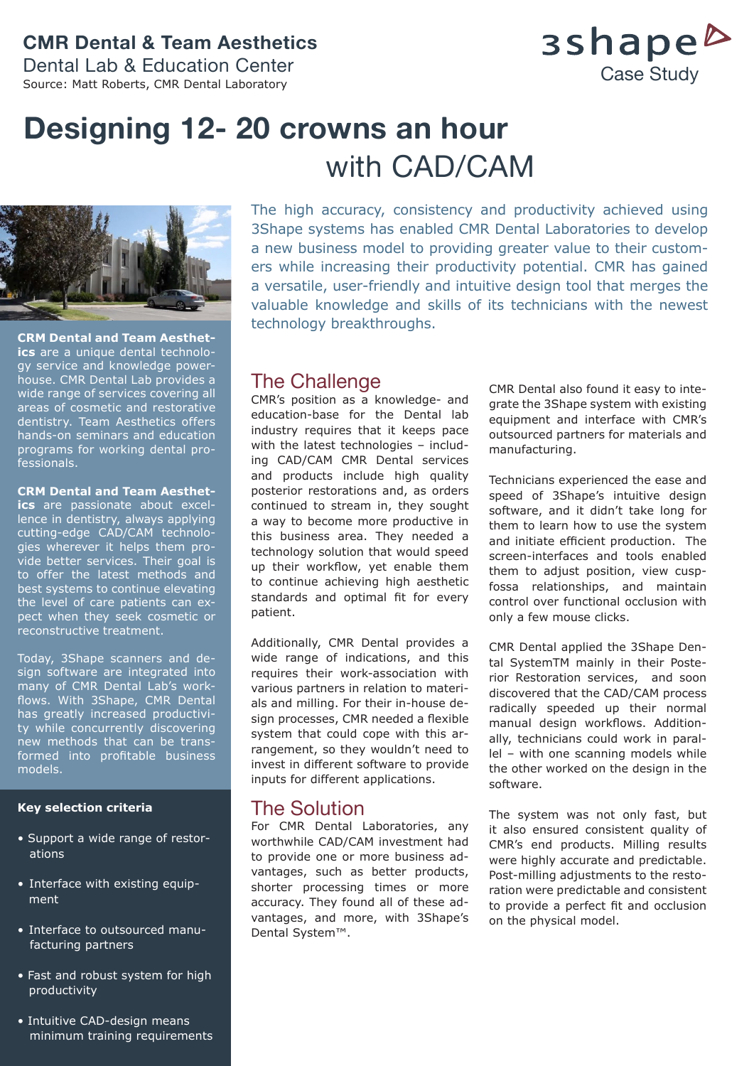## **CMR Dental & Team Aesthetics**

Dental Lab & Education Center Source: Matt Roberts, CMR Dental Laboratory

3shape<sup>b</sup> Case Study

## **Designing 12- 20 crowns an hour**  with CAD/CAM



**CRM Dental and Team Aesthetics** are a unique dental technology service and knowledge powerhouse. CMR Dental Lab provides a wide range of services covering all areas of cosmetic and restorative dentistry. Team Aesthetics offers hands-on seminars and education programs for working dental professionals.

#### **CRM Dental and Team Aesthet-**

**ics** are passionate about excellence in dentistry, always applying cutting-edge CAD/CAM technologies wherever it helps them provide better services. Their goal is to offer the latest methods and best systems to continue elevating the level of care patients can expect when they seek cosmetic or reconstructive treatment.

Today, 3Shape scanners and design software are integrated into many of CMR Dental Lab's workflows. With 3Shape, CMR Dental has greatly increased productivity while concurrently discovering new methods that can be transformed into profitable business models.

#### **Key selection criteria**

- Support a wide range of restor ations
- Interface with existing equip ment
- Interface to outsourced manu facturing partners
- Fast and robust system for high productivity
- Intuitive CAD-design means minimum training requirements

The high accuracy, consistency and productivity achieved using 3Shape systems has enabled CMR Dental Laboratories to develop a new business model to providing greater value to their customers while increasing their productivity potential. CMR has gained a versatile, user-friendly and intuitive design tool that merges the valuable knowledge and skills of its technicians with the newest technology breakthroughs.

### The Challenge

CMR's position as a knowledge- and education-base for the Dental lab industry requires that it keeps pace with the latest technologies – including CAD/CAM CMR Dental services and products include high quality posterior restorations and, as orders continued to stream in, they sought a way to become more productive in this business area. They needed a technology solution that would speed up their workflow, yet enable them to continue achieving high aesthetic standards and optimal fit for every patient.

Additionally, CMR Dental provides a wide range of indications, and this requires their work-association with various partners in relation to materials and milling. For their in-house design processes, CMR needed a flexible system that could cope with this arrangement, so they wouldn't need to invest in different software to provide inputs for different applications.

## The Solution

For CMR Dental Laboratories, any worthwhile CAD/CAM investment had to provide one or more business advantages, such as better products, shorter processing times or more accuracy. They found all of these advantages, and more, with 3Shape's Dental System™.

CMR Dental also found it easy to integrate the 3Shape system with existing equipment and interface with CMR's outsourced partners for materials and manufacturing.

Technicians experienced the ease and speed of 3Shape's intuitive design software, and it didn't take long for them to learn how to use the system and initiate efficient production. The screen-interfaces and tools enabled them to adjust position, view cuspfossa relationships, and maintain control over functional occlusion with only a few mouse clicks.

CMR Dental applied the 3Shape Dental SystemTM mainly in their Posterior Restoration services, and soon discovered that the CAD/CAM process radically speeded up their normal manual design workflows. Additionally, technicians could work in parallel – with one scanning models while the other worked on the design in the software.

The system was not only fast, but it also ensured consistent quality of CMR's end products. Milling results were highly accurate and predictable. Post-milling adjustments to the restoration were predictable and consistent to provide a perfect fit and occlusion on the physical model.